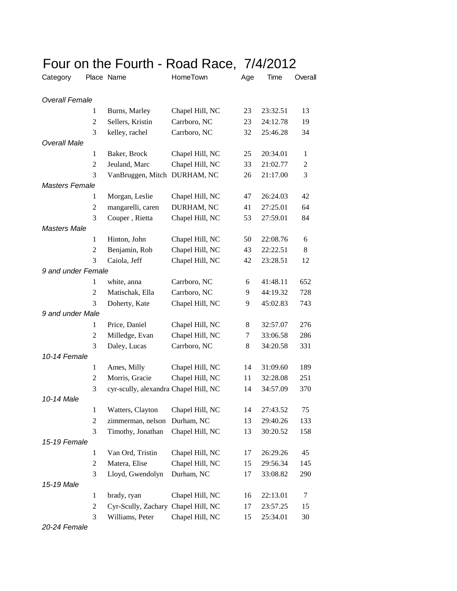| Four on the Fourth - Road Race, 7/4/2012 |  |
|------------------------------------------|--|
|------------------------------------------|--|

| Category              |                | Place Name                            | HomeTown        | Age | Time     | Overall        |
|-----------------------|----------------|---------------------------------------|-----------------|-----|----------|----------------|
| <b>Overall Female</b> |                |                                       |                 |     |          |                |
|                       | 1              | Burns, Marley                         | Chapel Hill, NC | 23  | 23:32.51 | 13             |
|                       | $\overline{2}$ | Sellers, Kristin                      | Carrboro, NC    | 23  | 24:12.78 | 19             |
|                       | 3              | kelley, rachel                        | Carrboro, NC    | 32  | 25:46.28 | 34             |
| <b>Overall Male</b>   |                |                                       |                 |     |          |                |
|                       | $\mathbf{1}$   | Baker, Brock                          | Chapel Hill, NC | 25  | 20:34.01 | $\mathbf{1}$   |
|                       | 2              | Jeuland, Marc                         | Chapel Hill, NC | 33  | 21:02.77 | $\overline{c}$ |
|                       | 3              | VanBruggen, Mitch DURHAM, NC          |                 | 26  | 21:17.00 | 3              |
| <b>Masters Female</b> |                |                                       |                 |     |          |                |
|                       | 1              | Morgan, Leslie                        | Chapel Hill, NC | 47  | 26:24.03 | 42             |
|                       | 2              | mangarelli, caren                     | DURHAM, NC      | 41  | 27:25.01 | 64             |
|                       | 3              | Couper, Rietta                        | Chapel Hill, NC | 53  | 27:59.01 | 84             |
| <b>Masters Male</b>   |                |                                       |                 |     |          |                |
|                       | $\mathbf{1}$   | Hinton, John                          | Chapel Hill, NC | 50  | 22:08.76 | 6              |
|                       | $\overline{2}$ | Benjamin, Rob                         | Chapel Hill, NC | 43  | 22:22.51 | 8              |
|                       | 3              | Caiola, Jeff                          | Chapel Hill, NC | 42  | 23:28.51 | 12             |
| 9 and under Female    |                |                                       |                 |     |          |                |
|                       | $\mathbf 1$    | white, anna                           | Carrboro, NC    | 6   | 41:48.11 | 652            |
|                       | 2              | Matischak, Ella                       | Carrboro, NC    | 9   | 44:19.32 | 728            |
|                       | 3              | Doherty, Kate                         | Chapel Hill, NC | 9   | 45:02.83 | 743            |
| 9 and under Male      |                |                                       |                 |     |          |                |
|                       | 1              | Price, Daniel                         | Chapel Hill, NC | 8   | 32:57.07 | 276            |
|                       | $\overline{c}$ | Milledge, Evan                        | Chapel Hill, NC | 7   | 33:06.58 | 286            |
|                       | 3              | Daley, Lucas                          | Carrboro, NC    | 8   | 34:20.58 | 331            |
| 10-14 Female          |                |                                       |                 |     |          |                |
|                       | 1              | Ames, Milly                           | Chapel Hill, NC | 14  | 31:09.60 | 189            |
|                       | $\overline{c}$ | Morris, Gracie                        | Chapel Hill, NC | 11  | 32:28.08 | 251            |
|                       | 3              | cyr-scully, alexandra Chapel Hill, NC |                 | 14  | 34:57.09 | 370            |
| 10-14 Male            |                |                                       |                 |     |          |                |
|                       | $\mathbf{1}$   | Watters, Clayton                      | Chapel Hill, NC | 14  | 27:43.52 | 75             |
|                       | $\mathfrak{2}$ | zimmerman, nelson                     | Durham, NC      | 13  | 29:40.26 | 133            |
|                       | 3              | Timothy, Jonathan                     | Chapel Hill, NC | 13  | 30:20.52 | 158            |
| 15-19 Female          |                |                                       |                 |     |          |                |
|                       | $\mathbf{1}$   | Van Ord, Tristin                      | Chapel Hill, NC | 17  | 26:29.26 | 45             |
|                       | $\overline{c}$ | Matera, Elise                         | Chapel Hill, NC | 15  | 29:56.34 | 145            |
|                       | 3              | Lloyd, Gwendolyn                      | Durham, NC      | 17  | 33:08.82 | 290            |
| 15-19 Male            |                |                                       |                 |     |          |                |
|                       | 1              | brady, ryan                           | Chapel Hill, NC | 16  | 22:13.01 | 7              |
|                       | $\mathfrak{2}$ | Cyr-Scully, Zachary Chapel Hill, NC   |                 | 17  | 23:57.25 | 15             |
|                       | 3              | Williams, Peter                       | Chapel Hill, NC | 15  | 25:34.01 | 30             |

*20-24 Female*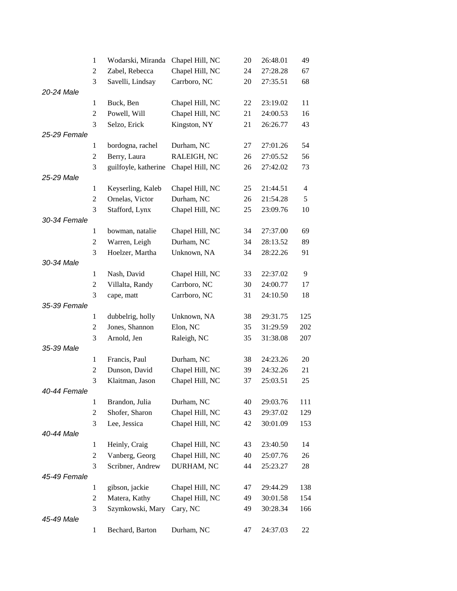|              | 1              | Wodarski, Miranda    | Chapel Hill, NC | 20 | 26:48.01 | 49             |
|--------------|----------------|----------------------|-----------------|----|----------|----------------|
|              | 2              | Zabel, Rebecca       | Chapel Hill, NC | 24 | 27:28.28 | 67             |
|              | 3              | Savelli, Lindsay     | Carrboro, NC    | 20 | 27:35.51 | 68             |
| 20-24 Male   |                |                      |                 |    |          |                |
|              | $\mathbf{1}$   | Buck, Ben            | Chapel Hill, NC | 22 | 23:19.02 | 11             |
|              | $\overline{c}$ | Powell, Will         | Chapel Hill, NC | 21 | 24:00.53 | 16             |
|              | 3              | Selzo, Erick         | Kingston, NY    | 21 | 26:26.77 | 43             |
| 25-29 Female |                |                      |                 |    |          |                |
|              | 1              | bordogna, rachel     | Durham, NC      | 27 | 27:01.26 | 54             |
|              | 2              | Berry, Laura         | RALEIGH, NC     | 26 | 27:05.52 | 56             |
|              | 3              | guilfoyle, katherine | Chapel Hill, NC | 26 | 27:42.02 | 73             |
| 25-29 Male   |                |                      |                 |    |          |                |
|              | 1              | Keyserling, Kaleb    | Chapel Hill, NC | 25 | 21:44.51 | $\overline{4}$ |
|              | 2              | Ornelas, Victor      | Durham, NC      | 26 | 21:54.28 | 5              |
|              | 3              | Stafford, Lynx       | Chapel Hill, NC | 25 | 23:09.76 | 10             |
| 30-34 Female |                |                      |                 |    |          |                |
|              | 1              | bowman, natalie      | Chapel Hill, NC | 34 | 27:37.00 | 69             |
|              | 2              | Warren, Leigh        | Durham, NC      | 34 | 28:13.52 | 89             |
|              | 3              | Hoelzer, Martha      | Unknown, NA     | 34 | 28:22.26 | 91             |
| 30-34 Male   |                |                      |                 |    |          |                |
|              | $\mathbf{1}$   | Nash, David          | Chapel Hill, NC | 33 | 22:37.02 | 9              |
|              | 2              | Villalta, Randy      | Carrboro, NC    | 30 | 24:00.77 | 17             |
|              | 3              | cape, matt           | Carrboro, NC    | 31 | 24:10.50 | 18             |
| 35-39 Female |                |                      |                 |    |          |                |
|              | 1              | dubbelrig, holly     | Unknown, NA     | 38 | 29:31.75 | 125            |
|              | 2              | Jones, Shannon       | Elon, NC        | 35 | 31:29.59 | 202            |
|              | 3              | Arnold, Jen          | Raleigh, NC     | 35 | 31:38.08 | 207            |
| 35-39 Male   |                |                      |                 |    |          |                |
|              | $\mathbf{1}$   | Francis, Paul        | Durham, NC      | 38 | 24:23.26 | 20             |
|              | $\overline{c}$ | Dunson, David        | Chapel Hill, NC | 39 | 24:32.26 | 21             |
|              | 3              | Klaitman, Jason      | Chapel Hill, NC | 37 | 25:03.51 | 25             |
| 40-44 Female |                |                      |                 |    |          |                |
|              | 1              | Brandon, Julia       | Durham, NC      | 40 | 29:03.76 | 111            |
|              | $\overline{2}$ | Shofer, Sharon       | Chapel Hill, NC | 43 | 29:37.02 | 129            |
|              | 3              | Lee, Jessica         | Chapel Hill, NC | 42 | 30:01.09 | 153            |
| 40-44 Male   |                |                      |                 |    |          |                |
|              | $\mathbf{1}$   | Heinly, Craig        | Chapel Hill, NC | 43 | 23:40.50 | 14             |
|              | 2              | Vanberg, Georg       | Chapel Hill, NC | 40 | 25:07.76 | 26             |
|              | 3              | Scribner, Andrew     | DURHAM, NC      | 44 | 25:23.27 | 28             |
| 45-49 Female |                |                      |                 |    |          |                |
|              | 1              | gibson, jackie       | Chapel Hill, NC | 47 | 29:44.29 | 138            |
|              | $\overline{c}$ | Matera, Kathy        | Chapel Hill, NC | 49 | 30:01.58 | 154            |
|              | 3              | Szymkowski, Mary     | Cary, NC        | 49 | 30:28.34 | 166            |
| 45-49 Male   |                |                      |                 |    |          |                |
|              | $\mathbf{1}$   | Bechard, Barton      | Durham, NC      | 47 | 24:37.03 | 22             |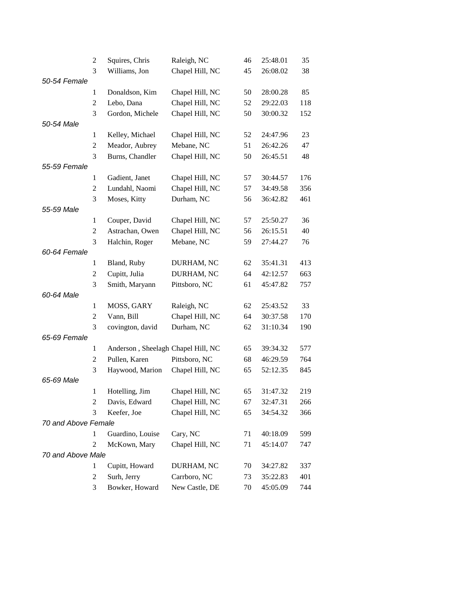|                     | 2              | Squires, Chris                     | Raleigh, NC                      | 46 | 25:48.01             | 35  |
|---------------------|----------------|------------------------------------|----------------------------------|----|----------------------|-----|
|                     | 3              | Williams, Jon                      | Chapel Hill, NC                  | 45 | 26:08.02             | 38  |
| 50-54 Female        |                |                                    |                                  |    |                      |     |
|                     | 1              | Donaldson, Kim                     | Chapel Hill, NC                  | 50 | 28:00.28             | 85  |
|                     | $\overline{2}$ | Lebo, Dana                         | Chapel Hill, NC                  | 52 | 29:22.03             | 118 |
|                     | 3              | Gordon, Michele                    | Chapel Hill, NC                  | 50 | 30:00.32             | 152 |
| 50-54 Male          |                |                                    |                                  |    |                      |     |
|                     | $\mathbf{1}$   | Kelley, Michael                    | Chapel Hill, NC                  | 52 | 24:47.96             | 23  |
|                     | $\overline{c}$ | Meador, Aubrey                     | Mebane, NC                       | 51 | 26:42.26             | 47  |
|                     | 3              | Burns, Chandler                    | Chapel Hill, NC                  | 50 | 26:45.51             | 48  |
| 55-59 Female        |                |                                    |                                  |    |                      |     |
|                     | 1              | Gadient, Janet                     | Chapel Hill, NC                  | 57 | 30:44.57             | 176 |
|                     | $\overline{c}$ | Lundahl, Naomi                     | Chapel Hill, NC                  | 57 | 34:49.58             | 356 |
|                     | 3              | Moses, Kitty                       | Durham, NC                       | 56 | 36:42.82             | 461 |
| 55-59 Male          |                |                                    |                                  |    |                      |     |
|                     | 1              | Couper, David                      | Chapel Hill, NC                  | 57 | 25:50.27             | 36  |
|                     | 2              | Astrachan, Owen                    | Chapel Hill, NC                  | 56 | 26:15.51             | 40  |
|                     | 3              | Halchin, Roger                     | Mebane, NC                       | 59 | 27:44.27             | 76  |
| 60-64 Female        |                |                                    |                                  |    |                      |     |
|                     | $\mathbf{1}$   | Bland, Ruby                        | DURHAM, NC                       | 62 | 35:41.31             | 413 |
|                     | 2              | Cupitt, Julia                      | DURHAM, NC                       | 64 | 42:12.57             | 663 |
|                     | 3              | Smith, Maryann                     | Pittsboro, NC                    | 61 | 45:47.82             | 757 |
| 60-64 Male          |                |                                    |                                  |    |                      |     |
|                     | 1              | MOSS, GARY                         | Raleigh, NC                      | 62 | 25:43.52             | 33  |
|                     | $\overline{c}$ | Vann, Bill                         | Chapel Hill, NC                  | 64 | 30:37.58             | 170 |
|                     | 3              | covington, david                   | Durham, NC                       | 62 | 31:10.34             | 190 |
| 65-69 Female        |                |                                    |                                  |    |                      |     |
|                     | 1              | Anderson, Sheelagh Chapel Hill, NC |                                  | 65 | 39:34.32             | 577 |
|                     | $\overline{c}$ | Pullen, Karen                      | Pittsboro, NC<br>Chapel Hill, NC | 68 | 46:29.59<br>52:12.35 | 764 |
| 65-69 Male          | 3              | Haywood, Marion                    |                                  | 65 |                      | 845 |
|                     | $\mathbf{1}$   | Hotelling, Jim                     | Chapel Hill, NC                  | 65 | 31:47.32             | 219 |
|                     | 2              | Davis, Edward                      | Chapel Hill, NC                  | 67 | 32:47.31             | 266 |
|                     | 3              | Keefer, Joe                        | Chapel Hill, NC                  | 65 | 34:54.32             | 366 |
| 70 and Above Female |                |                                    |                                  |    |                      |     |
|                     | $\mathbf{1}$   | Guardino, Louise                   | Cary, NC                         | 71 | 40:18.09             | 599 |
|                     | $\overline{2}$ | McKown, Mary                       | Chapel Hill, NC                  | 71 | 45:14.07             | 747 |
| 70 and Above Male   |                |                                    |                                  |    |                      |     |
|                     | 1              | Cupitt, Howard                     | DURHAM, NC                       | 70 | 34:27.82             | 337 |
|                     | $\overline{c}$ | Surh, Jerry                        | Carrboro, NC                     | 73 | 35:22.83             | 401 |
|                     | 3              | Bowker, Howard                     | New Castle, DE                   | 70 | 45:05.09             | 744 |